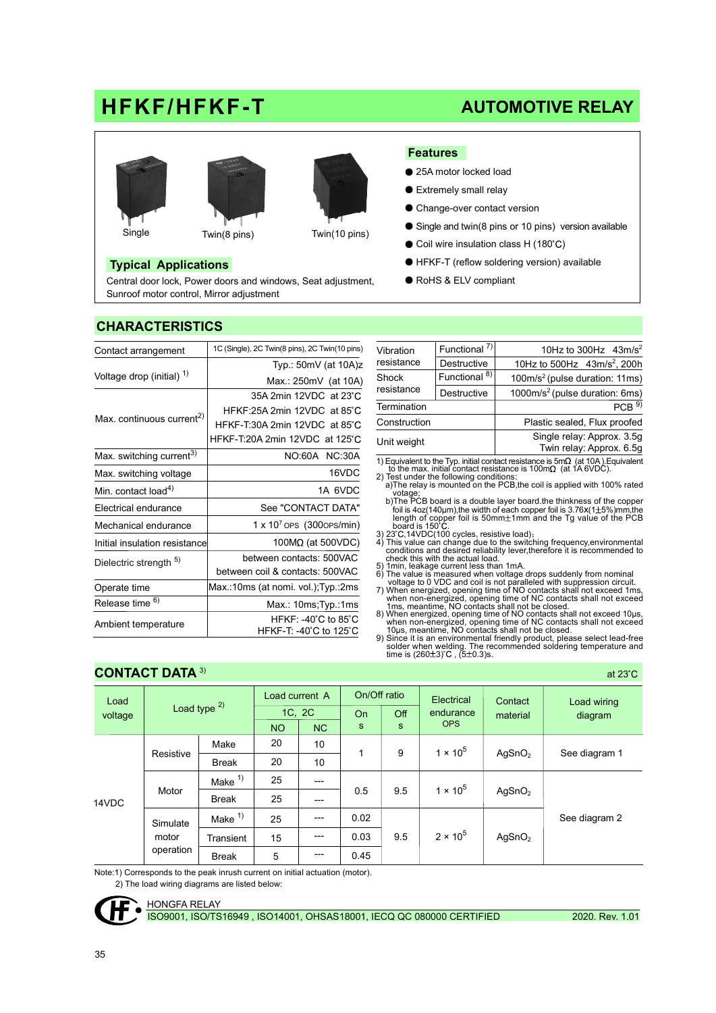# HFKF/HFKF-T







#### Single Twin(8 pins) Twin(10 pins)

#### Typical Applications

Central door lock, Power doors and windows, Seat adjustment, Sunroof motor control, Mirror adjustment

## Features

- 25A motor locked load
- Extremely small relay
- Change-over contact version
- Single and twin(8 pins or 10 pins) version available

AUTOMOTIVE RELAY

- Coil wire insulation class H (180°C)
- HFKF-T (reflow soldering version) available
- RoHS & ELV compliant

| Contact arrangement                   | 1C (Single), 2C Twin(8 pins), 2C Twin(10 pins)                                                       | Vibration                                                                                                                                                                           | Functional <sup>7)</sup>                                 |  |  |  |  |
|---------------------------------------|------------------------------------------------------------------------------------------------------|-------------------------------------------------------------------------------------------------------------------------------------------------------------------------------------|----------------------------------------------------------|--|--|--|--|
|                                       | Typ.: $50mV$ (at $10A)z$                                                                             | resistance                                                                                                                                                                          | Destructive                                              |  |  |  |  |
| Voltage drop (initial) <sup>1)</sup>  | Max.: 250mV (at 10A)                                                                                 | Shock                                                                                                                                                                               | Functional <sup>8)</sup>                                 |  |  |  |  |
|                                       | 35A 2min 12VDC at 23°C                                                                               | resistance                                                                                                                                                                          | Destructive                                              |  |  |  |  |
|                                       | HFKF:25A 2min 12VDC at 85°C                                                                          | Termination<br>Construction<br>Unit weight<br>1) Equivalent to the Typ. initial cor                                                                                                 |                                                          |  |  |  |  |
| Max. continuous current <sup>2)</sup> | HFKF-T:30A 2min 12VDC at 85°C                                                                        |                                                                                                                                                                                     |                                                          |  |  |  |  |
|                                       | HFKF-T:20A 2min 12VDC at 125°C                                                                       |                                                                                                                                                                                     |                                                          |  |  |  |  |
| Max. switching current <sup>3)</sup>  | NO:60A NC:30A                                                                                        |                                                                                                                                                                                     |                                                          |  |  |  |  |
| Max. switching voltage                | 16VDC                                                                                                | 2) Test under the following cond                                                                                                                                                    | to the max. initial contact res                          |  |  |  |  |
| Min. contact load <sup>4)</sup>       | 1A 6VDC                                                                                              | votage;                                                                                                                                                                             | a)The relay is mounted on the                            |  |  |  |  |
| Electrical endurance                  | See "CONTACT DATA"                                                                                   | b)The PCB board is a double<br>foil is 4oz(140µm), the width<br>length of copper foil is 50<br>board is 150°C.<br>3) 23°C, 14VDC(100 cycles, resi<br>4) This value can change due t |                                                          |  |  |  |  |
| Mechanical endurance                  | $1 \times 10^7$ OPS (3000PS/min)                                                                     |                                                                                                                                                                                     |                                                          |  |  |  |  |
| Initial insulation resistance         | 100 $M\Omega$ (at 500VDC)                                                                            |                                                                                                                                                                                     |                                                          |  |  |  |  |
| Dielectric strength 5)                | between contacts: 500VAC                                                                             | conditions and desired reliab<br>check this with the actual loa                                                                                                                     |                                                          |  |  |  |  |
|                                       | 5) 1min, leakage current less th<br>between coil & contacts: 500VAC<br>6) The value is measured when |                                                                                                                                                                                     |                                                          |  |  |  |  |
| Operate time                          | Max.:10ms (at nomi. vol.); Typ.:2ms                                                                  | 7) When energized, opening tin                                                                                                                                                      | voltage to 0 VDC and coil is                             |  |  |  |  |
| Release time <sup>6)</sup>            | Max.: 10ms; Typ.: 1ms                                                                                | when non-energized, openir<br>1ms, meantime, NO contacts                                                                                                                            |                                                          |  |  |  |  |
| Ambient temperature                   | $HFKF: -40^{\circ}C$ to 85 $^{\circ}C$<br>HFKF-T: -40 C to 125 C                                     | 8) When energized, opening tin                                                                                                                                                      | when non-energized, openir<br>10us, meantime, NO contact |  |  |  |  |

| Vibration<br>resistance | Functional <sup>7)</sup> | 10Hz to 300Hz $43m/s^2$                                |  |  |  |  |  |
|-------------------------|--------------------------|--------------------------------------------------------|--|--|--|--|--|
|                         | Destructive              | 10Hz to 500Hz 43m/s <sup>2</sup> , 200h                |  |  |  |  |  |
| Shock<br>resistance     | Functional <sup>8)</sup> | 100m/s <sup>2</sup> (pulse duration: 11ms)             |  |  |  |  |  |
|                         | Destructive              | 1000m/s <sup>2</sup> (pulse duration: 6ms)             |  |  |  |  |  |
| Termination             |                          | PCB <sup>9</sup>                                       |  |  |  |  |  |
| Construction            |                          | Plastic sealed, Flux proofed                           |  |  |  |  |  |
| Unit weight             |                          | Single relay: Approx. 3.5g<br>Twin relay: Approx. 6.5g |  |  |  |  |  |
|                         |                          |                                                        |  |  |  |  |  |

1) Equivalent to the Typ. initial contact resistance is  $5m\Omega$  (at 10A). Equivalent<br>to the max. initial contact resistance is 100m $\Omega$  (at 1A 6VDC).<br>2) Test under the following conditions:<br>a)The relay is mounted on the PC

votage; b)The PCB board is a double layer board.the thinkness of the copper foil is 4oz(140µm),the width of each copper foil is 3.76x(1 5%)mm,the

length of copper foil is 50mm $\pm$ 1mm and the Tg value of the PCB<br>board is 150°C.<br>3)  $23^{\circ}$ C,14VDC(100 cycles, resistive load);<br>4) This value can change due to the switching frequency,environmental<br>conditions and desired

- 
- 
- 5) 1min, leakage current less than 1mA.<br>
6) The value is measured when voltage drops suddenly from nominal<br>
6) The value is measured when voltage to 0 VDC and coil is not paralleled with suppression circuit.<br>
7) When energ

#### CONTACT DATA 3)

| Load<br>voltage                                               |              |                    | Load current A |                | On/Off ratio |                   | Electrical              | Contact            | Load wiring   |
|---------------------------------------------------------------|--------------|--------------------|----------------|----------------|--------------|-------------------|-------------------------|--------------------|---------------|
|                                                               |              | Load type $2)$     | 1C, 2C         |                | <b>On</b>    | Off               | endurance<br><b>OPS</b> | material           | diagram       |
|                                                               |              |                    |                | N <sub>C</sub> | $\mathbf s$  | s                 |                         |                    |               |
| Resistive<br>Motor<br>14VDC<br>Simulate<br>motor<br>operation |              | Make               | 20             | 10             | 1            | 9                 | $1 \times 10^{5}$       |                    |               |
|                                                               | <b>Break</b> | 20                 | 10             |                |              |                   | AgSnO <sub>2</sub>      | See diagram 1      |               |
|                                                               |              | Make $1)$          | 25             | ---            |              |                   |                         |                    |               |
|                                                               | <b>Break</b> | 25                 | ---            | 0.5            | 9.5          | $1 \times 10^{5}$ | AgSnO <sub>2</sub>      |                    |               |
|                                                               |              | Make <sup>1)</sup> | 25             | $---$          | 0.02<br>0.03 | 9.5               | $2 \times 10^{5}$       | AgSnO <sub>2</sub> | See diagram 2 |
|                                                               |              | Transient          | 15             | ---            |              |                   |                         |                    |               |
|                                                               |              | <b>Break</b>       | 5              | $---$          | 0.45         |                   |                         |                    |               |

Note:1) Corresponds to the peak inrush current on initial actuation (motor).

2) The load wiring diagrams are listed below:



at  $23^{\circ}$ C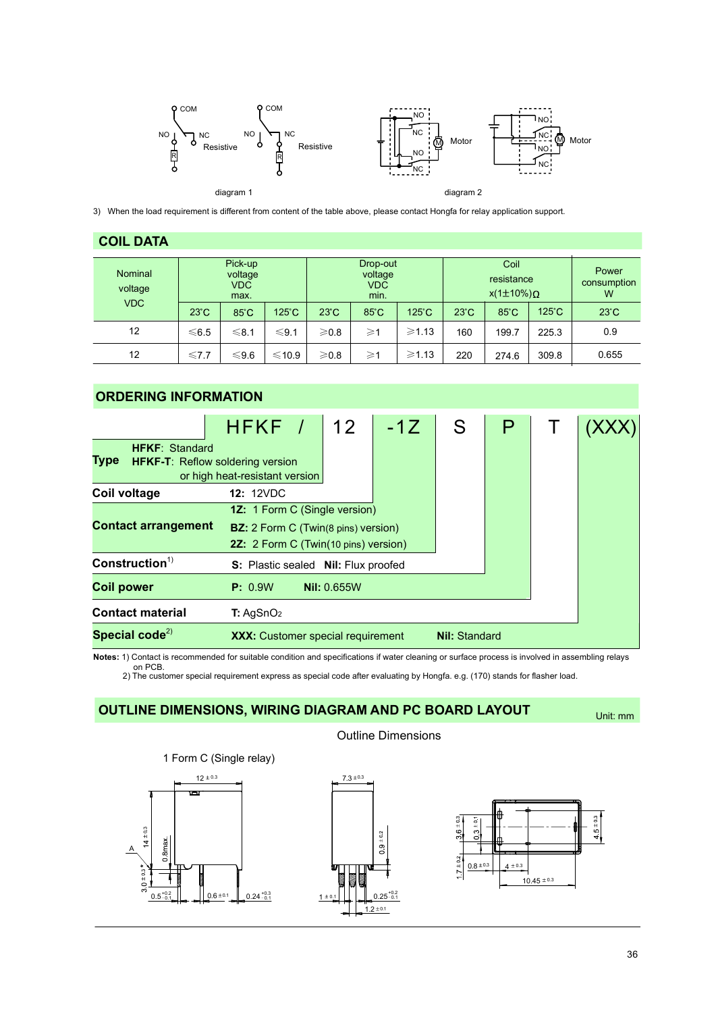

3) When the load requirement is different from content of the table above, please contact Hongfa for relay application support.

#### COIL DATA

| <b>Nominal</b><br>voltage<br><b>VDC</b> | Pick-up<br>voltage<br><b>VDC</b><br>max.<br>$23^{\circ}$ C<br>$125^\circ C$<br>$85^{\circ}$ C |            |            | $23^{\circ}$ C  | Drop-out<br>voltage<br><b>VDC</b><br>min.<br>$85^{\circ}$ C | $125^\circ C$ | Coil<br>resistance<br>$x(1\pm10\%)\Omega$<br>$125^{\circ}$ C<br>$85^{\circ}$ C<br>$23^\circ C$ |       |       | Power<br>consumption<br>W<br>$23^{\circ}$ C |
|-----------------------------------------|-----------------------------------------------------------------------------------------------|------------|------------|-----------------|-------------------------------------------------------------|---------------|------------------------------------------------------------------------------------------------|-------|-------|---------------------------------------------|
| 12                                      | $≤6.5$                                                                                        | $\leq 8.1$ | $\leq 9.1$ | $\geqslant$ 0.8 | $\geqslant$ 1                                               | $\geq 1.13$   | 160                                                                                            | 199.7 | 225.3 | 0.9                                         |
| 12                                      | $\leq 7.7$                                                                                    | $≤9.6$     | $≤10.9$    | $\geqslant$ 0.8 | $\geqslant$ 1                                               | $\ge 1.13$    | 220                                                                                            | 274.6 | 309.8 | 0.655                                       |

### ORDERING INFORMATION

| <b>HFKF: Standard</b><br>Type<br><b>HFKF-T: Reflow soldering version</b> | HFKF /                                   |  | 12                       | $-1Z$ | S                    |  |  |  |
|--------------------------------------------------------------------------|------------------------------------------|--|--------------------------|-------|----------------------|--|--|--|
|                                                                          | or high heat-resistant version           |  |                          |       |                      |  |  |  |
| Coil voltage                                                             | <b>12: 12VDC</b>                         |  |                          |       |                      |  |  |  |
|                                                                          | <b>1Z:</b> 1 Form C (Single version)     |  |                          |       |                      |  |  |  |
| <b>Contact arrangement</b><br><b>BZ:</b> 2 Form C (Twin(8 pins) version) |                                          |  |                          |       |                      |  |  |  |
|                                                                          | 2Z: 2 Form C (Twin(10 pins) version)     |  |                          |       |                      |  |  |  |
| Construction <sup>1</sup>                                                | <b>S:</b> Plastic sealed                 |  | <b>Nil:</b> Flux proofed |       |                      |  |  |  |
| <b>Coil power</b>                                                        | P: 0.9W                                  |  | <b>Nil: 0.655W</b>       |       |                      |  |  |  |
| <b>Contact material</b>                                                  | T: AgSnO <sub>2</sub>                    |  |                          |       |                      |  |  |  |
| Special code $^{2)}$                                                     | <b>XXX:</b> Customer special requirement |  |                          |       | <b>Nil: Standard</b> |  |  |  |

Notes: 1) Contact is recommended for suitable condition and specifications if water cleaning or surface process is involved in assembling relays

on PCB. 2) The customer special requirement express as special code after evaluating by Hongfa. e.g. (170) stands for flasher load.

 $7.3 \pm 0.3$ 

### OUTLINE DIMENSIONS, WIRING DIAGRAM AND PC BOARD LAYOUT

Unit: mm



## Outline Dimensions

+0.2  $-0.1$ 

 $2 \pm 0.1$ 

 $\frac{1}{9}$ 

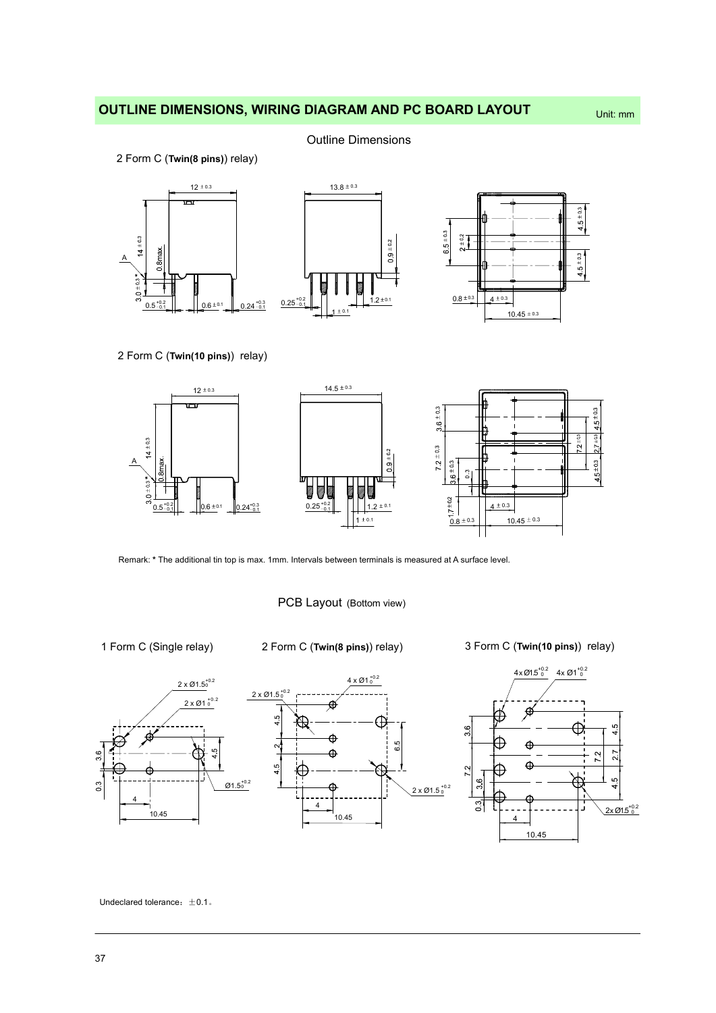## OUTLINE DIMENSIONS, WIRING DIAGRAM AND PC BOARD LAYOUT Unit: mm

Outline Dimensions

2 Form C (Twin(8 pins)) relay)



2 Form C (Twin(10 pins)) relay)



Remark: \* The additional tin top is max. 1mm. Intervals between terminals is measured at A surface level.

PCB Layout (Bottom view)

1 Form C (Single relay) 2 Form C (Twin(8 pins)) relay) 3 Form C (Twin(10 pins)) relay)





 $4 \times \emptyset$ 1.5<sup>+0.2</sup>  $4 \times \emptyset$ 1<sup>+0.2</sup>



Undeclared tolerance:  $\pm 0.1$ .